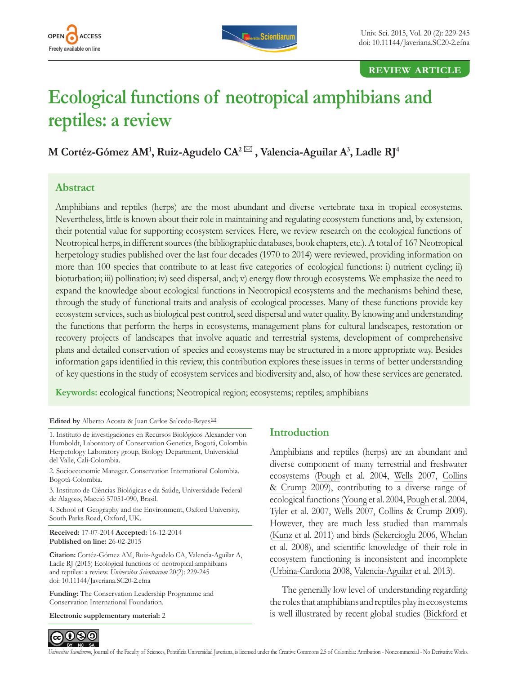<span id="page-0-0"></span>



### **review article**

# **Ecological functions of neotropical amphibians and reptiles: a review**

**M Cortéz-Gómez AM1 , Ruiz-Agudelo CA2 , Valencia-Aguilar A3 , Ladle RJ4**

## **Abstract**

Amphibians and reptiles (herps) are the most abundant and diverse vertebrate taxa in tropical ecosystems. Nevertheless, little is known about their role in maintaining and regulating ecosystem functions and, by extension, their potential value for supporting ecosystem services. Here, we review research on the ecological functions of Neotropical herps, in different sources (the bibliographic databases, book chapters, etc.). A total of 167 Neotropical herpetology studies published over the last four decades (1970 to 2014) were reviewed, providing information on more than 100 species that contribute to at least five categories of ecological functions: i) nutrient cycling; ii) bioturbation; iii) pollination; iv) seed dispersal, and; v) energy flow through ecosystems. We emphasize the need to expand the knowledge about ecological functions in Neotropical ecosystems and the mechanisms behind these, through the study of functional traits and analysis of ecological processes. Many of these functions provide key ecosystem services, such as biological pest control, seed dispersal and water quality. By knowing and understanding the functions that perform the herps in ecosystems, management plans for cultural landscapes, restoration or recovery projects of landscapes that involve aquatic and terrestrial systems, development of comprehensive plans and detailed conservation of species and ecosystems may be structured in a more appropriate way. Besides information gaps identified in this review, this contribution explores these issues in terms of better understanding of key questions in the study of ecosystem services and biodiversity and, also, of how these services are generated.

**Keywords:** ecological functions; Neotropical region; ecosystems; reptiles; amphibians

#### **Edited by** Alberto Acosta & Juan Carlos Salcedo-Reye[s](mailto:salcedo.juan%40javeriana.edu.co?subject=Editor)

1. Instituto de investigaciones en Recursos Biológicos Alexander von Humboldt, Laboratory of Conservation Genetics, Bogotá, Colombia. Herpetology Laboratory group, Biology Department, Universidad del Valle, Cali-Colombia.

2. Socioeconomic Manager. Conservation International Colombia. Bogotá-Colombia.

3. Instituto de Ciências Biológicas e da Saúde, Universidade Federal de Alagoas, Maceió 57051-090, Brasil.

4. School of Geography and the Environment, Oxford University, South Parks Road, Oxford, UK.

**Received:** 17-07-2014 **Accepted:** 16-12-2014 **Published on line:** 26-02-2015

**Citation:** Cortéz-Gómez AM, Ruiz-Agudelo CA, Valencia-Aguilar A, Ladle RJ (2015) Ecological functions of neotropical amphibians and reptiles: a review. *Universitas Scientiarum* 20(2): 229-245 doi: 10.11144/Javeriana.SC20-2.efna

**Funding:** The Conservation Leadership Programme and Conservation International Foundation.

**Electronic supplementary material:** 2

# **Introduction**

Amphibians and reptiles (herps) are an abundant and diverse component of many terrestrial and freshwater ecosystems [\(Pough](#page-14-0) et al. 2004, [Wells](#page-16-0) 2007, [Collins](#page-11-0)  [& Crump](#page-11-0) 2009), contributing to a diverse range of ecological functions [\(Young](#page-16-0) et al. 2004, [Pough](#page-14-0) et al. 2004, [Tyler](#page-15-0) et al. 2007, [Wells](#page-16-0) 2007, [Collins & Crump](#page-11-0) 2009). However, they are much less studied than mammals ([Kunz](#page-13-0) et al. 2011) and birds [\(Sekercioglu](#page-15-0) 2006, [Whelan](#page-16-0) et al. 2008), and scientific knowledge of their role in ecosystem functioning is inconsistent and incomplete ([Urbina-Cardona](#page-15-0) 2008, [Valencia-Aguilar](#page-15-0) et al. 2013).

The generally low level of understanding regarding the roles that amphibians and reptiles play in ecosystems is well illustrated by recent global studies [\(Bickford](#page-11-0) et

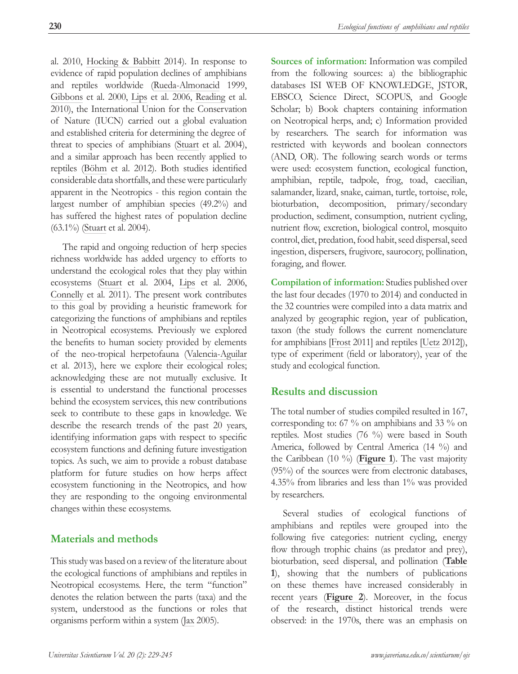<span id="page-1-0"></span>al. 2010, [Hocking & Babbitt](#page-13-0) 2014). In response to evidence of rapid population declines of amphibians and reptiles worldwide ([Rueda-Almonacid](#page-14-0) 1999, [Gibbons](#page-12-0) et al. 2000, [Lips](#page-13-0) et al. 2006, [Reading](#page-14-0) et al. 2010), the International Union for the Conservation of Nature (IUCN) carried out a global evaluation and established criteria for determining the degree of threat to species of amphibians [\(Stuart](#page-15-0) et al. 2004), and a similar approach has been recently applied to reptiles ([Böhm](#page-11-0) et al. 2012). Both studies identified considerable data shortfalls, and these were particularly apparent in the Neotropics - this region contain the largest number of amphibian species (49.2%) and has suffered the highest rates of population decline (63.1%) [\(Stuart](#page-15-0) et al. 2004).

The rapid and ongoing reduction of herp species richness worldwide has added urgency to efforts to understand the ecological roles that they play within ecosystems ([Stuart](#page-15-0) et al. 2004, [Lips](#page-13-0) et al. 2006, [Connelly](#page-11-0) et al. 2011). The present work contributes to this goal by providing a heuristic framework for categorizing the functions of amphibians and reptiles in Neotropical ecosystems. Previously we explored the benefits to human society provided by elements of the neo-tropical herpetofauna ([Valencia-Aguilar](#page-15-0)  et al. 2013), here we explore their ecological roles; acknowledging these are not mutually exclusive. It is essential to understand the functional processes behind the ecosystem services, this new contributions seek to contribute to these gaps in knowledge. We describe the research trends of the past 20 years, identifying information gaps with respect to specific ecosystem functions and defining future investigation topics. As such, we aim to provide a robust database platform for future studies on how herps affect ecosystem functioning in the Neotropics, and how they are responding to the ongoing environmental changes within these ecosystems.

## **Materials and methods**

This study was based on a review of the literature about the ecological functions of amphibians and reptiles in Neotropical ecosystems. Here, the term "function" denotes the relation between the parts (taxa) and the system, understood as the functions or roles that organisms perform within a system ([Jax](#page-13-0) 2005).

**Sources of information:** Information was compiled from the following sources: a) the bibliographic databases ISI WEB OF KNOWLEDGE, JSTOR, EBSCO, Science Direct, SCOPUS, and Google Scholar; b) Book chapters containing information on Neotropical herps, and; c) Information provided by researchers. The search for information was restricted with keywords and boolean connectors (AND, OR). The following search words or terms were used: ecosystem function, ecological function, amphibian, reptile, tadpole, frog, toad, caecilian, salamander, lizard, snake, caiman, turtle, tortoise, role, bioturbation, decomposition, primary/secondary production, sediment, consumption, nutrient cycling, nutrient flow, excretion, biological control, mosquito control, diet, predation, food habit, seed dispersal, seed ingestion, dispersers, frugivore, saurocory, pollination, foraging, and flower.

**Compilation of information:** Studies published over the last four decades (1970 to 2014) and conducted in the 32 countries were compiled into a data matrix and analyzed by geographic region, year of publication, taxon (the study follows the current nomenclature for amphibians [[Frost](#page-12-0) 2011] and reptiles [\[Uetz](#page-15-0) 2012]), type of experiment (field or laboratory), year of the study and ecological function.

## **Results and discussion**

The total number of studies compiled resulted in 167, corresponding to: 67 % on amphibians and 33 % on reptiles. Most studies (76 %) were based in South America, followed by Central America (14 %) and the Caribbean (10 %) (**[Figure 1](#page-2-0)**). The vast majority (95%) of the sources were from electronic databases, 4.35% from libraries and less than 1% was provided by researchers.

Several studies of ecological functions of amphibians and reptiles were grouped into the following five categories: nutrient cycling, energy flow through trophic chains (as predator and prey), bioturbation, seed dispersal, and pollination (**[Table](#page-2-0)  [1](#page-2-0)**), showing that the numbers of publications on these themes have increased considerably in recent years (**[Figure 2](#page-2-0)**). Moreover, in the focus of the research, distinct historical trends were observed: in the 1970s, there was an emphasis on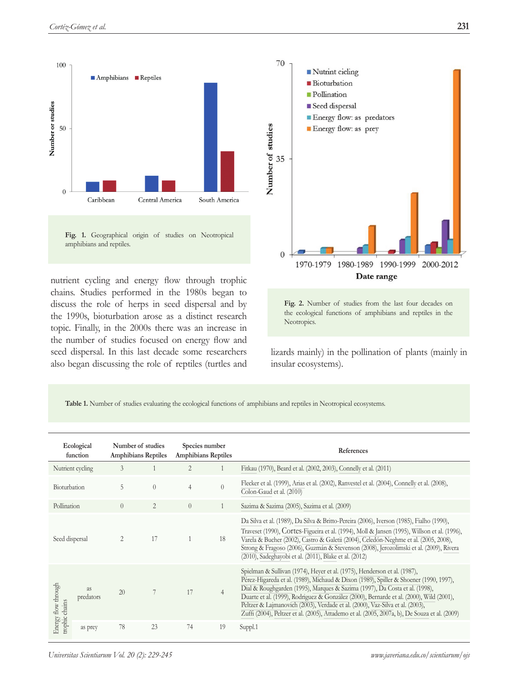<span id="page-2-0"></span>

Fig. 1. Geographical origin of studies on Neotropical amphibians and reptiles.

nutrient cycling and energy flow through trophic chains. Studies performed in the 1980s began to discuss the role of herps in seed dispersal and by the 1990s, bioturbation arose as a distinct research topic. Finally, in the 2000s there was an increase in the number of studies focused on energy flow and seed dispersal. In this last decade some researchers also began discussing the role of reptiles (turtles and



**Fig. 2.** Number of studies from the last four decades on the ecological functions of amphibians and reptiles in the Neotropics.

lizards mainly) in the pollination of plants (mainly in insular ecosystems).

**Table 1.** Number of studies evaluating the ecological functions of amphibians and reptiles in Neotropical ecosystems.

| Ecological<br>function                |                        | Number of studies<br><b>Amphibians Reptiles</b> |                | Species number<br><b>Amphibians Reptiles</b> |                | References                                                                                                                                                                                                                                                                                                                                                                                                                                                                                                                     |  |  |
|---------------------------------------|------------------------|-------------------------------------------------|----------------|----------------------------------------------|----------------|--------------------------------------------------------------------------------------------------------------------------------------------------------------------------------------------------------------------------------------------------------------------------------------------------------------------------------------------------------------------------------------------------------------------------------------------------------------------------------------------------------------------------------|--|--|
|                                       | Nutrient cycling       | 3                                               |                | 2                                            | 1              | Fitkau (1970), Beard et al. (2002, 2003), Connelly et al. (2011)                                                                                                                                                                                                                                                                                                                                                                                                                                                               |  |  |
| Bioturbation                          |                        | 5                                               | $\overline{0}$ | $\overline{4}$                               | $\theta$       | Flecker et al. (1999), Arias et al. (2002), Ranvestel et al. (2004), Connelly et al. (2008),<br>Colon-Gaud et al. (2010)                                                                                                                                                                                                                                                                                                                                                                                                       |  |  |
| Pollination                           |                        | $\left( \right)$                                | $\overline{2}$ | $\overline{0}$                               | 1              | Sazima & Sazima (2005), Sazima et al. (2009)                                                                                                                                                                                                                                                                                                                                                                                                                                                                                   |  |  |
| Seed dispersal                        |                        | 2                                               | 17             |                                              | 18             | Da Silva et al. (1989), Da Silva & Britto-Pereira (2006), Iverson (1985), Fialho (1990),<br>Traveset (1990), Cortes-Figueira et al. (1994), Moll & Jansen (1995), Willson et al. (1996),<br>Varela & Bucher (2002), Castro & Galetii (2004), Celedón-Neghme et al. (2005, 2008),<br>Strong & Fragoso (2006), Guzmán & Stevenson (2008), Jerozolimski et al. (2009), Rivera<br>(2010), Sadeghayobi et al. (2011), Blake et al. (2012)                                                                                           |  |  |
| Energy flow through<br>trophic chains | <b>as</b><br>predators | 20                                              |                | 17                                           | $\overline{4}$ | Spielman & Sullivan (1974), Heyer et al. (1975), Henderson et al. (1987),<br>Pérez-Higareda et al. (1989), Michaud & Dixon (1989), Spiller & Shoener (1990, 1997),<br>Dial & Roughgarden (1995), Marques & Sazima (1997), Da Costa et al. (1998),<br>Duarte et al. (1999), Rodriguez & González (2000), Bernarde et al. (2000), Wild (2001),<br>Peltzer & Lajmanovich (2003), Verdade et al. (2000), Vaz-Silva et al. (2003),<br>Zuffi (2004), Peltzer et al. (2005), Attademo et al. (2005, 2007a, b), De Souza et al. (2009) |  |  |
|                                       | as prey                | 78                                              | 23             | 74                                           | 19             | Suppl.1                                                                                                                                                                                                                                                                                                                                                                                                                                                                                                                        |  |  |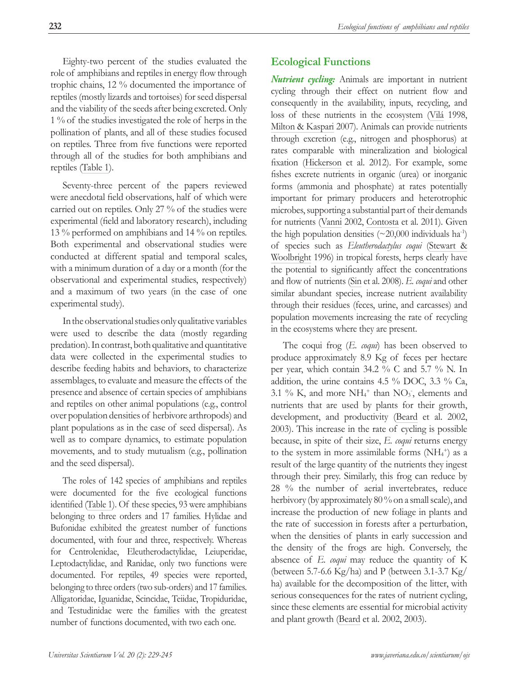<span id="page-3-0"></span>Eighty-two percent of the studies evaluated the role of amphibians and reptiles in energy flow through trophic chains, 12 % documented the importance of reptiles (mostly lizards and tortoises) for seed dispersal and the viability of the seeds after being excreted. Only 1 % of the studies investigated the role of herps in the pollination of plants, and all of these studies focused on reptiles. Three from five functions were reported through all of the studies for both amphibians and reptiles ([Table 1](#page-2-0)).

Seventy-three percent of the papers reviewed were anecdotal field observations, half of which were carried out on reptiles. Only 27 % of the studies were experimental (field and laboratory research), including 13 % performed on amphibians and 14 % on reptiles. Both experimental and observational studies were conducted at different spatial and temporal scales, with a minimum duration of a day or a month (for the observational and experimental studies, respectively) and a maximum of two years (in the case of one experimental study).

In the observational studies only qualitative variables were used to describe the data (mostly regarding predation). In contrast, both qualitative and quantitative data were collected in the experimental studies to describe feeding habits and behaviors, to characterize assemblages, to evaluate and measure the effects of the presence and absence of certain species of amphibians and reptiles on other animal populations (e.g., control over population densities of herbivore arthropods) and plant populations as in the case of seed dispersal). As well as to compare dynamics, to estimate population movements, and to study mutualism (e.g., pollination and the seed dispersal).

The roles of 142 species of amphibians and reptiles were documented for the five ecological functions identified ([Table 1](#page-2-0)). Of these species, 93 were amphibians belonging to three orders and 17 families. Hylidae and Bufonidae exhibited the greatest number of functions documented, with four and three, respectively. Whereas for Centrolenidae, Eleutherodactylidae, Leiuperidae, Leptodactylidae, and Ranidae, only two functions were documented. For reptiles, 49 species were reported, belonging to three orders (two sub-orders) and 17 families. Alligatoridae, Iguanidae, Scincidae, Teiidae, Tropiduridae, and Testudinidae were the families with the greatest number of functions documented, with two each one.

# **Ecological Functions**

*Nutrient cycling:* Animals are important in nutrient cycling through their effect on nutrient flow and consequently in the availability, inputs, recycling, and loss of these nutrients in the ecosystem ([Vilá](#page-15-0) 1998, [Milton & Kaspari](#page-13-0) 2007). Animals can provide nutrients through excretion (e.g., nitrogen and phosphorus) at rates comparable with mineralization and biological fixation ([Hickerson](#page-13-0) et al. 2012). For example, some fishes excrete nutrients in organic (urea) or inorganic forms (ammonia and phosphate) at rates potentially important for primary producers and heterotrophic microbes, supporting a substantial part of their demands for nutrients ([Vanni](#page-15-0) 2002, [Contosta](#page-11-0) et al. 2011). Given the high population densities  $(\sim 20,000$  individuals ha<sup>-1</sup>) of species such as *Eleutherodactylus coqui* [\(Stewart &](#page-15-0)  [Woolbright](#page-15-0) 1996) in tropical forests, herps clearly have the potential to significantly affect the concentrations and flow of nutrients ([Sin](#page-14-0) et al. 2008). *E. coqui* and other similar abundant species, increase nutrient availability through their residues (feces, urine, and carcasses) and population movements increasing the rate of recycling in the ecosystems where they are present.

The coqui frog (*E. coqui*) has been observed to produce approximately 8.9 Kg of feces per hectare per year, which contain 34.2 % C and 5.7 % N. In addition, the urine contains 4.5 % DOC, 3.3 % Ca, 3.1 % K, and more  $NH_4$ <sup>+</sup> than  $NO_3$ <sup>-</sup>, elements and nutrients that are used by plants for their growth, development, and productivity [\(Beard](#page-10-0) et al. 2002, 2003). This increase in the rate of cycling is possible because, in spite of their size, *E. coqui* returns energy to the system in more assimilable forms  $(NH<sub>4</sub><sup>+</sup>)$  as a result of the large quantity of the nutrients they ingest through their prey. Similarly, this frog can reduce by 28 % the number of aerial invertebrates, reduce herbivory (by approximately 80 % on a small scale), and increase the production of new foliage in plants and the rate of succession in forests after a perturbation, when the densities of plants in early succession and the density of the frogs are high. Conversely, the absence of *E. coqui* may reduce the quantity of K (between 5.7-6.6 Kg/ha) and P (between 3.1-3.7 Kg/ ha) available for the decomposition of the litter, with serious consequences for the rates of nutrient cycling, since these elements are essential for microbial activity and plant growth ([Beard](#page-10-0) et al. 2002, 2003).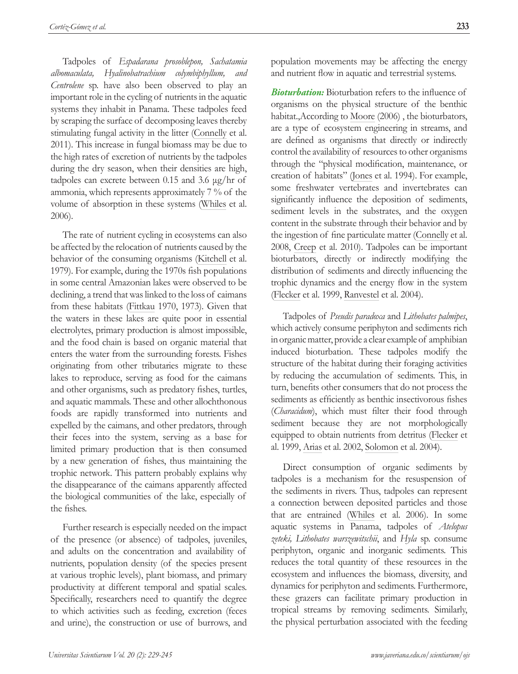<span id="page-4-0"></span>Tadpoles of *Espadarana prosoblepon, Sachatamia albomaculata, Hyalinobatrachium colymbiphyllum, and Centrolene* sp. have also been observed to play an important role in the cycling of nutrients in the aquatic systems they inhabit in Panama. These tadpoles feed by scraping the surface of decomposing leaves thereby stimulating fungal activity in the litter [\(Connelly](#page-11-0) et al. 2011). This increase in fungal biomass may be due to the high rates of excretion of nutrients by the tadpoles during the dry season, when their densities are high, tadpoles can excrete between 0.15 and 3.6 μg/hr of ammonia, which represents approximately 7 % of the volume of absorption in these systems ([Whiles](#page-16-0) et al. 2006).

The rate of nutrient cycling in ecosystems can also be affected by the relocation of nutrients caused by the behavior of the consuming organisms ([Kitchell](#page-14-0) et al. 1979). For example, during the 1970s fish populations in some central Amazonian lakes were observed to be declining, a trend that was linked to the loss of caimans from these habitats ([Fittkau](#page-13-0) 1970, 1973). Given that the waters in these lakes are quite poor in essential electrolytes, primary production is almost impossible, and the food chain is based on organic material that enters the water from the surrounding forests. Fishes originating from other tributaries migrate to these lakes to reproduce, serving as food for the caimans and other organisms, such as predatory fishes, turtles, and aquatic mammals. These and other allochthonous foods are rapidly transformed into nutrients and expelled by the caimans, and other predators, through their feces into the system, serving as a base for limited primary production that is then consumed by a new generation of fishes, thus maintaining the trophic network. This pattern probably explains why the disappearance of the caimans apparently affected the biological communities of the lake, especially of the fishes.

Further research is especially needed on the impact of the presence (or absence) of tadpoles, juveniles, and adults on the concentration and availability of nutrients, population density (of the species present at various trophic levels), plant biomass, and primary productivity at different temporal and spatial scales. Specifically, researchers need to quantify the degree to which activities such as feeding, excretion (feces and urine), the construction or use of burrows, and

population movements may be affecting the energy and nutrient flow in aquatic and terrestrial systems.

*Bioturbation:* Bioturbation refers to the influence of organisms on the physical structure of the benthic habitat.,According to [Moore](#page-13-0) (2006) , the bioturbators, are a type of ecosystem engineering in streams, and are defined as organisms that directly or indirectly control the availability of resources to other organisms through the "physical modification, maintenance, or creation of habitats" ([Jones](#page-14-0) et al. 1994). For example, some freshwater vertebrates and invertebrates can significantly influence the deposition of sediments, sediment levels in the substrates, and the oxygen content in the substrate through their behavior and by the ingestion of fine particulate matter ([Connelly](#page-12-0) et al. 2008, [Creep](#page-12-0) et al. 2010). Tadpoles can be important bioturbators, directly or indirectly modifying the distribution of sediments and directly influencing the trophic dynamics and the energy flow in the system [\(Flecker](#page-12-0) et al. 1999, [Ranvestel](#page-14-0) et al. 2004).

Tadpoles of *Pseudis paradoxa* and *Lithobates palmipes*, which actively consume periphyton and sediments rich in organic matter, provide a clear example of amphibian induced bioturbation. These tadpoles modify the structure of the habitat during their foraging activities by reducing the accumulation of sediments. This, in turn, benefits other consumers that do not process the sediments as efficiently as benthic insectivorous fishes (*Characidum*), which must filter their food through sediment because they are not morphologically equipped to obtain nutrients from detritus ([Flecker](#page-12-0) et al. 1999, [Arias](#page-10-0) et al. 2002, [Solomon](#page-15-0) et al. 2004).

Direct consumption of organic sediments by tadpoles is a mechanism for the resuspension of the sediments in rivers. Thus, tadpoles can represent a connection between deposited particles and those that are entrained ([Whiles](#page-16-0) et al. 2006). In some aquatic systems in Panama, tadpoles of *Atelopus zeteki, Lithobates warszewitschii*, and *Hyla* sp. consume periphyton, organic and inorganic sediments. This reduces the total quantity of these resources in the ecosystem and influences the biomass, diversity, and dynamics for periphyton and sediments. Furthermore, these grazers can facilitate primary production in tropical streams by removing sediments. Similarly, the physical perturbation associated with the feeding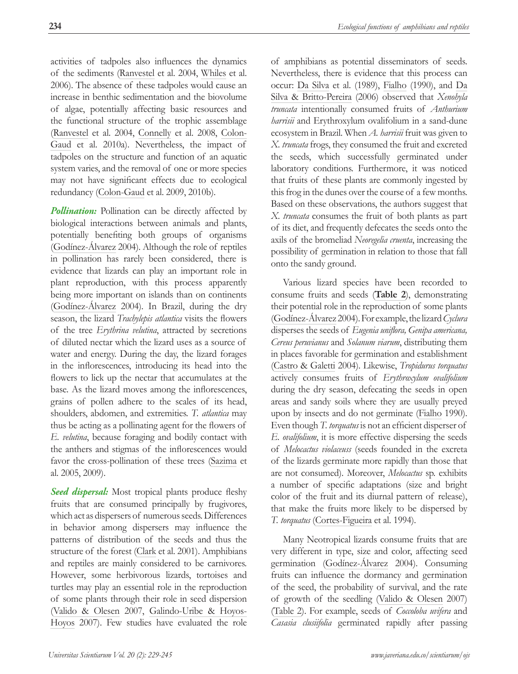<span id="page-5-0"></span>activities of tadpoles also influences the dynamics of the sediments ([Ranvestel](#page-14-0) et al. 2004, [Whiles](#page-16-0) et al. 2006). The absence of these tadpoles would cause an increase in benthic sedimentation and the biovolume of algae, potentially affecting basic resources and the functional structure of the trophic assemblage ([Ranvestel](#page-14-0) et al. 2004, [Connelly](#page-11-0) et al. 2008, [Colon-](#page-11-0)[Gaud](#page-11-0) et al. 2010a). Nevertheless, the impact of tadpoles on the structure and function of an aquatic system varies, and the removal of one or more species may not have significant effects due to ecological redundancy ([Colon-Gaud](#page-11-0) et al. 2009, 2010b).

*Pollination:* Pollination can be directly affected by biological interactions between animals and plants, potentially benefiting both groups of organisms ([Godínez-Álvarez](#page-12-0) 2004). Although the role of reptiles in pollination has rarely been considered, there is evidence that lizards can play an important role in plant reproduction, with this process apparently being more important on islands than on continents ([Godínez-Álvarez](#page-13-0) 2004). In Brazil, during the dry season, the lizard *Trachylepis atlantica* visits the flowers of the tree *Erythrina velutina*, attracted by secretions of diluted nectar which the lizard uses as a source of water and energy. During the day, the lizard forages in the inflorescences, introducing its head into the flowers to lick up the nectar that accumulates at the base. As the lizard moves among the inflorescences, grains of pollen adhere to the scales of its head, shoulders, abdomen, and extremities. *T. atlantica* may thus be acting as a pollinating agent for the flowers of *E. velutina*, because foraging and bodily contact with the anthers and stigmas of the inflorescences would favor the cross-pollination of these trees [\(Sazima](#page-14-0) et al. 2005, 2009).

Seed dispersal: Most tropical plants produce fleshy fruits that are consumed principally by frugivores, which act as dispersers of numerous seeds. Differences in behavior among dispersers may influence the patterns of distribution of the seeds and thus the structure of the forest ([Clark](#page-11-0) et al. 2001). Amphibians and reptiles are mainly considered to be carnivores. However, some herbivorous lizards, tortoises and turtles may play an essential role in the reproduction of some plants through their role in seed dispersion ([Valido & Olesen](#page-15-0) 2007, [Galindo-Uribe & Hoyos-](#page-12-0)[Hoyos](#page-12-0) 2007). Few studies have evaluated the role

of amphibians as potential disseminators of seeds. Nevertheless, there is evidence that this process can occur: [Da Silva](#page-12-0) et al. (1989), [Fialho](#page-12-0) (1990), and [Da](#page-12-0)  [Silva & Britto-Pereira](#page-12-0) (2006) observed that *Xenohyla truncata* intentionally consumed fruits of *Anthurium harrisii* and Erythroxylum ovalifolium in a sand-dune ecosystem in Brazil. When *A. harrisii* fruit was given to *X. truncata* frogs, they consumed the fruit and excreted the seeds, which successfully germinated under laboratory conditions. Furthermore, it was noticed that fruits of these plants are commonly ingested by this frog in the dunes over the course of a few months. Based on these observations, the authors suggest that *X. truncata* consumes the fruit of both plants as part of its diet, and frequently defecates the seeds onto the axils of the bromeliad *Neoregelia cruenta*, increasing the possibility of germination in relation to those that fall onto the sandy ground.

Various lizard species have been recorded to consume fruits and seeds (**[Table 2](#page-6-0)**), demonstrating their potential role in the reproduction of some plants [\(Godínez-Álvarez](#page-13-0) 2004). For example, the lizard *Cyclura* disperses the seeds of *Eugenia uniflora, Genipa americana, Cereus peruvianus* and *Solanum viarum*, distributing them in places favorable for germination and establishment [\(Castro & Galetti](#page-11-0) 2004). Likewise, *Tropidurus torquatus* actively consumes fruits of *Erythroxylum ovalifolium* during the dry season, defecating the seeds in open areas and sandy soils where they are usually preyed upon by insects and do not germinate ([Fialho](#page-12-0) 1990). Even though *T. torquatus* is not an efficient disperser of *E. ovalifolium*, it is more effective dispersing the seeds of *Melocactus violaceuss* (seeds founded in the excreta of the lizards germinate more rapidly than those that are not consumed). Moreover, *Melocactus* sp. exhibits a number of specific adaptations (size and bright color of the fruit and its diurnal pattern of release), that make the fruits more likely to be dispersed by *T. torquatus* [\(Cortes-Figueira](#page-11-0) et al. 1994).

Many Neotropical lizards consume fruits that are very different in type, size and color, affecting seed germination [\(Godínez-Álvarez](#page-13-0) 2004). Consuming fruits can influence the dormancy and germination of the seed, the probability of survival, and the rate of growth of the seedling ([Valido & Olesen](#page-15-0) 2007) [\(Table 2\)](#page-6-0). For example, seeds of *Coccoloba uvifera* and *Casasia clusiifolia* germinated rapidly after passing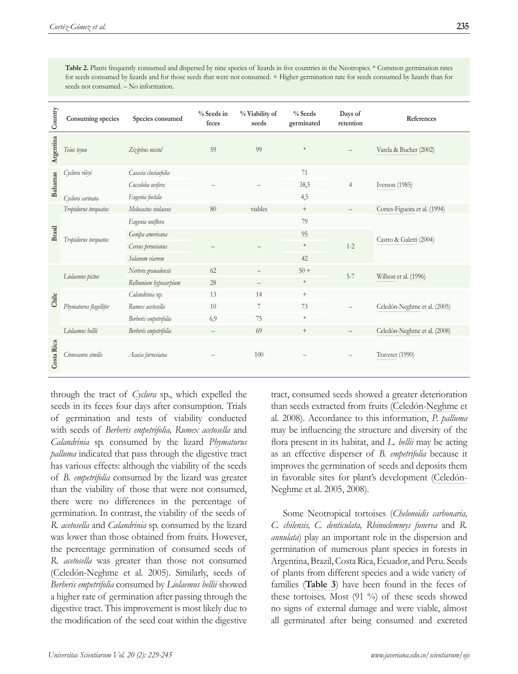| Country        | Consuming species      | Species consumed      | % Seeds in<br>feces      | % Viability of<br>seeds  | $%$ Seeds<br>germinated | Days of<br>retention | References                    |
|----------------|------------------------|-----------------------|--------------------------|--------------------------|-------------------------|----------------------|-------------------------------|
| Argentina      | Teius teyou            | Ziziphus mistol       | 59                       | 99                       | $\ast$                  |                      | Varela & Bucher (2002)        |
| <b>Bahamas</b> | Cyclura rileyi         | Casasia clusiaefolia  |                          |                          | 71                      | $\overline{4}$       | Iverson (1985)                |
|                |                        | Coccoloba uvifera     |                          |                          | 38,3                    |                      |                               |
|                | Cyclura carinata       | Eugenia foetida       |                          |                          | 4,5                     |                      |                               |
| Brasil         | Tropidurus torquatus   | Melocactus violaceus  | 80                       | viables                  | $\qquad \qquad +$       |                      | Cortes-Figueira et al. (1994) |
|                | Tropidurus torquatus   | Eugenia uniflora      |                          |                          | 79                      |                      | Castro & Galetti (2004)       |
|                |                        | Genipa americana      |                          |                          | 95                      | $1 - 2$              |                               |
|                |                        | Cereus peruvianus     |                          |                          | $\ast$                  |                      |                               |
|                |                        | Solanum viarum        |                          |                          | 42                      |                      |                               |
| Chile          | Liolaemus pictus       | Nertera granadensis   | 62                       |                          | $50+$                   | $5 - 7$              | Willson et al. (1996)         |
|                |                        | Relbunium hypocarpium | 28                       | $\overline{\phantom{0}}$ | $\ast$                  |                      |                               |
|                | Phymaturus flagellifer | Calandrinia sp.       | 13                       | 14                       | $\boldsymbol{+}$        |                      | Celedón-Neghme et al. (2005)  |
|                |                        | Rumex acetosella      | 10                       | 7                        | 73                      |                      |                               |
|                |                        | Berberis empetrifolia | 6,9                      | 75                       | $\ast$                  |                      |                               |
|                | Liolaemus bellii       | Berberis empetrifolia | $\overline{\phantom{m}}$ | 69                       | $^+$                    |                      | Celedón-Neghme et al. (2008)  |
| Costa Rica     | Ctenosaura similis     | Acacia farnesiana     |                          | 100                      |                         |                      | Traveset (1990)               |

<span id="page-6-0"></span>Table 2. Plants frequently consumed and dispersed by nine species of lizards in five countries in the Neotropics. \* Common germination rates for seeds consumed by lizards and for those seeds that were not consumed. + Higher germination rate for seeds consumed by lizards than for seeds not consumed. – No information.

through the tract of *Cyclura* sp., which expelled the seeds in its feces four days after consumption. Trials of germination and tests of viability conducted with seeds of *Berberis empetrifolia, Rumex acetosella* and *Calandrinia* sp. consumed by the lizard *Phymaturus palluma* indicated that pass through the digestive tract has various effects: although the viability of the seeds of *B. empetrifolia* consumed by the lizard was greater than the viability of those that were not consumed, there were no differences in the percentage of germination. In contrast, the viability of the seeds of *R. acetosella* and *Calandrinia* sp. consumed by the lizard was lower than those obtained from fruits. However, the percentage germination of consumed seeds of *R. acetosella* was greater than those not consumed ([Celedón-Neghme](#page-11-0) et al. 2005). Similarly, seeds of *Berberis empetrifolia* consumed by *Liolaemus bellii* showed a higher rate of germination after passing through the digestive tract. This improvement is most likely due to the modification of the seed coat within the digestive

tract, consumed seeds showed a greater deterioration than seeds extracted from fruits ([Celedón-Neghme](#page-11-0) et al. 2008). Accordance to this information, *P. palluma*  may be influencing the structure and diversity of the flora present in its habitat, and *L. bellii* may be acting as an effective disperser of *B. empetrifolia* because it improves the germination of seeds and deposits them in favorable sites for plant's development [\(Celedón-](#page-11-0)[Neghme](#page-11-0) et al. 2005, 2008).

Some Neotropical tortoises (*Chelonoidis carbonaria, C. chilensis, C. denticulata, Rhinoclemmys funerea* and *R. annulata*) play an important role in the dispersion and germination of numerous plant species in forests in Argentina, Brazil, Costa Rica, Ecuador, and Peru. Seeds of plants from different species and a wide variety of families (**[Table 3](#page-7-0)**) have been found in the feces of these tortoises. Most (91 %) of these seeds showed no signs of external damage and were viable, almost all germinated after being consumed and excreted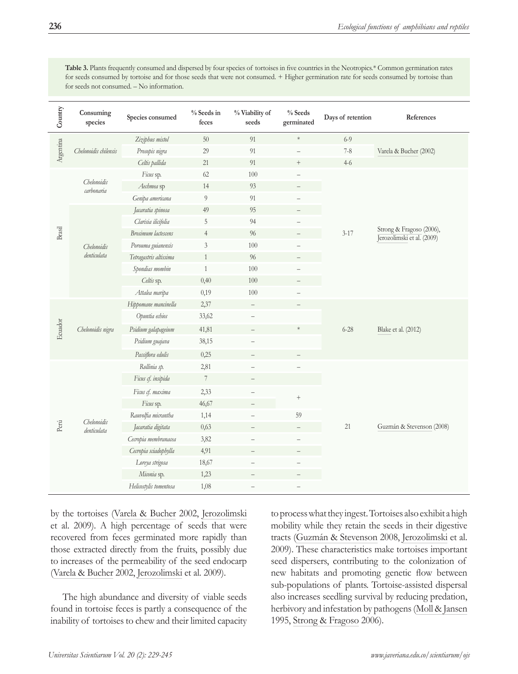<span id="page-7-0"></span>**Table 3.** Plants frequently consumed and dispersed by four species of tortoises in five countries in the Neotropics.\* Common germination rates for seeds consumed by tortoise and for those seeds that were not consumed. + Higher germination rate for seeds consumed by tortoise than for seeds not consumed. – No information.

| Country   | Consuming<br>species       | Species consumed       | % Seeds in<br>feces | % Viability of<br>seeds  | % Seeds<br>germinated | Days of retention            | References                                             |
|-----------|----------------------------|------------------------|---------------------|--------------------------|-----------------------|------------------------------|--------------------------------------------------------|
| Argentina | Chelonoidis chilensis      | Ziziphus mistol        | $50\,$              | 91                       | $\ast$                | $6 - 9$                      |                                                        |
|           |                            | Prosopis nigra         | 29                  | 91                       |                       | $7-8$                        | Varela & Bucher (2002)                                 |
|           |                            | Celtis pallida         | 21                  | 91                       | $\boldsymbol{+}$      | $4 - 6$                      |                                                        |
|           | Chelonoidis<br>carbonaria  | Ficus sp.              | 62                  | 100                      | <sup>-</sup>          | $3 - 17$                     | Strong & Fragoso (2006),<br>Jerozolimski et al. (2009) |
|           |                            | Aechmea sp             | 14                  | 93                       |                       |                              |                                                        |
|           |                            | Genipa americana       | 9                   | 91                       |                       |                              |                                                        |
|           | Chelonoidis<br>denticulata | Jacaratia spinosa      | 49                  | 95                       |                       |                              |                                                        |
|           |                            | Clarisia ilicifolia    | 5                   | 94                       |                       |                              |                                                        |
| Brasil    |                            | Brosimum lactescens    | $\overline{4}$      | 96                       |                       |                              |                                                        |
|           |                            | Porouma guianensis     | $\mathfrak{Z}$      | 100                      |                       |                              |                                                        |
|           |                            | Tetragastris altissima | $\mathbf{1}$        | 96                       |                       |                              |                                                        |
|           |                            | Spondias mombin        | $\mathbf{1}$        | 100                      |                       |                              |                                                        |
|           |                            | Celtis sp.             | 0,40                | 100                      |                       |                              |                                                        |
|           |                            | Attalea maripa         | 0,19                | 100                      |                       |                              |                                                        |
|           | Chelonoidis nigra          | Hippomane mancinella   | 2,37                | $\overline{\phantom{0}}$ |                       | $6 - 28$                     | Blake et al. (2012)                                    |
|           |                            | Opuntia echios         | 33,62               |                          |                       |                              |                                                        |
| Ecuador   |                            | Psidium galapageium    | 41,81               | $\overline{\phantom{0}}$ | $\ast$                |                              |                                                        |
|           |                            | Psidium guajava        | 38,15               | $\overline{\phantom{0}}$ |                       |                              |                                                        |
|           |                            | Passiflora edulis      | 0,25                | $\overline{\phantom{0}}$ |                       |                              |                                                        |
|           | Chelonoidis<br>denticulata | Rollinia sp.           | 2,81                |                          |                       | $\boldsymbol{+}$<br>59<br>21 | Guzmán & Stevenson (2008)                              |
|           |                            | Ficus cf. insipida     | $\overline{7}$      |                          |                       |                              |                                                        |
|           |                            | Ficus cf. maxima       | 2,33                |                          |                       |                              |                                                        |
| Perú      |                            | Ficus sp.              | 46,67               | $\overline{\phantom{0}}$ |                       |                              |                                                        |
|           |                            | Rauvolfia micrantha    | 1,14                |                          |                       |                              |                                                        |
|           |                            | Jacaratia digitata     | 0,63                | $\overline{\phantom{0}}$ |                       |                              |                                                        |
|           |                            | Cecropia membranacea   | 3,82                |                          |                       |                              |                                                        |
|           |                            | Cecropia sciadophylla  | 4,91                | $\overline{\phantom{0}}$ |                       |                              |                                                        |
|           |                            | Loreya strigosa        | 18,67               |                          |                       |                              |                                                        |
|           |                            | Miconia sp.            | 1,23                | <sup>-</sup>             |                       |                              |                                                        |
|           |                            | Helicostylis tomentosa | 1,08                |                          |                       |                              |                                                        |

by the tortoises [\(Varela & Bucher](#page-15-0) 2002, [Jerozolimski](#page-14-0) et al. 2009). A high percentage of seeds that were recovered from feces germinated more rapidly than those extracted directly from the fruits, possibly due to increases of the permeability of the seed endocarp ([Varela & Bucher](#page-15-0) 2002, [Jerozolimski](#page-14-0) et al. 2009).

The high abundance and diversity of viable seeds found in tortoise feces is partly a consequence of the inability of tortoises to chew and their limited capacity to process what they ingest. Tortoises also exhibit a high mobility while they retain the seeds in their digestive tracts [\(Guzmán & Stevenson](#page-12-0) 2008, [Jerozolimski](#page-14-0) et al. 2009). These characteristics make tortoises important seed dispersers, contributing to the colonization of new habitats and promoting genetic flow between sub-populations of plants. Tortoise-assisted dispersal also increases seedling survival by reducing predation, herbivory and infestation by pathogens [\(Moll & Jansen](#page-13-0) 1995, [Strong & Fragoso](#page-15-0) 2006).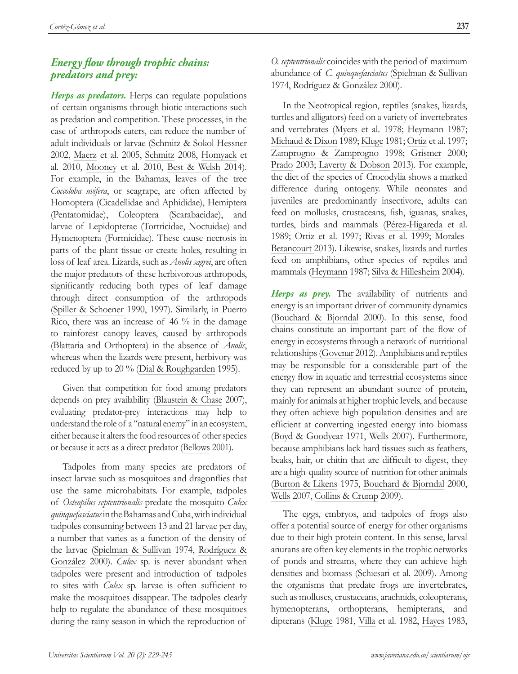# <span id="page-8-0"></span>*Energy flow through trophic chains: predators and prey:*

*Herps as predators.* Herps can regulate populations of certain organisms through biotic interactions such as predation and competition. These processes, in the case of arthropods eaters, can reduce the number of adult individuals or larvae [\(Schmitz & Sokol-Hessner](#page-15-0)  2002, [Maerz](#page-14-0) et al. 2005, [Schmitz](#page-15-0) 2008, [Homyack](#page-13-0) et al. 2010, [Mooney](#page-13-0) et al. 2010, [Best & Welsh](#page-11-0) 2014). For example, in the Bahamas, leaves of the tree *Coccoloba uvifera*, or seagrape, are often affected by Homoptera (Cicadellidae and Aphididae), Hemiptera (Pentatomidae), Coleoptera (Scarabaeidae), and larvae of Lepidopterae (Tortricidae, Noctuidae) and Hymenoptera (Formicidae). These cause necrosis in parts of the plant tissue or create holes, resulting in loss of leaf area. Lizards, such as *Anolis sagrei*, are often the major predators of these herbivorous arthropods, significantly reducing both types of leaf damage through direct consumption of the arthropods ([Spiller & Schoener](#page-15-0) 1990, 1997). Similarly, in Puerto Rico, there was an increase of 46 % in the damage to rainforest canopy leaves, caused by arthropods (Blattaria and Orthoptera) in the absence of *Anolis*, whereas when the lizards were present, herbivory was reduced by up to 20 % [\(Dial & Roughgarden](#page-12-0) 1995).

Given that competition for food among predators depends on prey availability [\(Blaustein & Chase](#page-11-0) 2007), evaluating predator-prey interactions may help to understand the role of a "natural enemy" in an ecosystem, either because it alters the food resources of other species or because it acts as a direct predator [\(Bellows](#page-11-0) 2001).

Tadpoles from many species are predators of insect larvae such as mosquitoes and dragonflies that use the same microhabitats. For example, tadpoles of *Osteopilus septentrionalis* predate the mosquito *Culex quinquefasciatus* in the Bahamas and Cuba, with individual tadpoles consuming between 13 and 21 larvae per day, a number that varies as a function of the density of the larvae ([Spielman & Sullivan](#page-15-0) 1974, [Rodríguez &](#page-14-0)  [González](#page-14-0) 2000). *Culex* sp. is never abundant when tadpoles were present and introduction of tadpoles to sites with *Culex* sp. larvae is often sufficient to make the mosquitoes disappear. The tadpoles clearly help to regulate the abundance of these mosquitoes during the rainy season in which the reproduction of

*O. septentrionalis* coincides with the period of maximum abundance of *C. quinquefasciatus* [\(Spielman & Sullivan](#page-15-0) 1974, [Rodríguez & González](#page-14-0) 2000).

In the Neotropical region, reptiles (snakes, lizards, turtles and alligators) feed on a variety of invertebrates and vertebrates [\(Myers](#page-14-0) et al. 1978; [Heymann](#page-13-0) 1987; [Michaud & Dixon](#page-13-0) 1989; [Kluge](#page-14-0) 1981; [Ortiz](#page-14-0) et al. 1997; [Zamprogno & Zamprogno](#page-16-0) 1998; [Grismer](#page-12-0) 2000; [Prado](#page-15-0) 2003; [Laverty & Dobson](#page-14-0) 2013). For example, the diet of the species of Crocodylia shows a marked difference during ontogeny. While neonates and juveniles are predominantly insectivore, adults can feed on mollusks, crustaceans, fish, iguanas, snakes, turtles, birds and mammals [\(Pérez-Higareda](#page-14-0) et al. 1989; [Ortiz](#page-14-0) et al. 1997; [Rivas](#page-14-0) et al. 1999; [Morales-](#page-14-0)[Betancourt 2](#page-14-0)013). Likewise, snakes, lizards and turtles feed on amphibians, other species of reptiles and mammals [\(Heymann](#page-13-0) 1987; [Silva & Hillesheim](#page-15-0) 2004).

*Herps as prey.* The availability of nutrients and energy is an important driver of community dynamics [\(Bouchard & Bjorndal](#page-11-0) 2000). In this sense, food chains constitute an important part of the flow of energy in ecosystems through a network of nutritional relationships [\(Govenar](#page-12-0) 2012). Amphibians and reptiles may be responsible for a considerable part of the energy flow in aquatic and terrestrial ecosystems since they can represent an abundant source of protein, mainly for animals at higher trophic levels, and because they often achieve high population densities and are efficient at converting ingested energy into biomass [\(Boyd & Goodyear](#page-11-0) 1971, [Wells](#page-16-0) 2007). Furthermore, because amphibians lack hard tissues such as feathers, beaks, hair, or chitin that are difficult to digest, they are a high-quality source of nutrition for other animals [\(Burton & Likens](#page-11-0) 1975, [Bouchard & Bjorndal](#page-11-0) 2000, [Wells](#page-16-0) 2007, [Collins & Crump](#page-11-0) 2009).

The eggs, embryos, and tadpoles of frogs also offer a potential source of energy for other organisms due to their high protein content. In this sense, larval anurans are often key elements in the trophic networks of ponds and streams, where they can achieve high densities and biomass [\(Schiesari](#page-14-0) et al. 2009). Among the organisms that predate frogs are invertebrates, such as molluscs, crustaceans, arachnids, coleopterans, hymenopterans, orthopterans, hemipterans, and dipterans [\(Kluge](#page-14-0) 1981, [Villa](#page-15-0) et al. 1982, [Hayes](#page-12-0) 1983,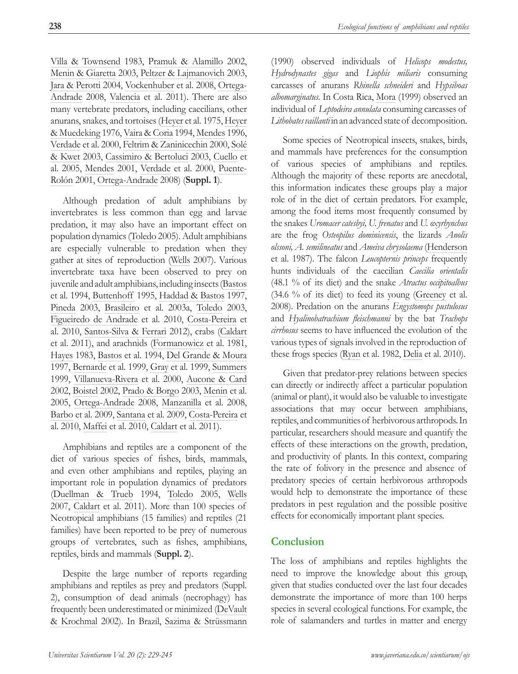<span id="page-9-0"></span>[Villa & Townsend](#page-15-0) 1983, [Pramuk & Alamillo](#page-14-0) 2002, [Menin & Giaretta](#page-13-0) 2003, [Peltzer & Lajmanovich](#page-14-0) 2003, [Jara & Perotti](#page-14-0) 2004, [Vockenhuber](#page-16-0) et al. 2008, [Ortega-](#page-14-0)[Andrade](#page-14-0) 2008, [Valencia](#page-15-0) et al. 2011). There are also many vertebrate predators, including caecilians, other anurans, snakes, and tortoises [\(Heyer](#page-13-0) et al. 1975, [Heyer](#page-13-0)  [& Muedeking](#page-13-0) 1976, [Vaira & Coria](#page-15-0) 1994, [Mendes](#page-13-0) 1996, [Verdade](#page-15-0) et al. 2000, [Feltrim & Zaninicechin](#page-12-0) 2000, [Solé](#page-15-0) 

[& Kwet](#page-15-0) 2003, [Cassimiro & Bertoluci](#page-11-0) 2003, [Cuello](#page-12-0) et al. 2005, [Mendes](#page-13-0) 2001, [Verdade](#page-15-0) et al. 2000, [Puente-](#page-14-0)[Rolón](#page-14-0) 2001, [Ortega-Andrade](#page-14-0) 2008) (**Suppl. 1**).

Although predation of adult amphibians by invertebrates is less common than egg and larvae predation, it may also have an important effect on population dynamics ([Toledo](#page-15-0) 2005). Adult amphibians are especially vulnerable to predation when they gather at sites of reproduction ([Wells](#page-16-0) 2007). Various invertebrate taxa have been observed to prey on juvenile and adult amphibians, including insects [\(Bastos](#page-10-0) et al. 1994, [Buttenhoff](#page-11-0) 1995, [Haddad & Bastos](#page-12-0) 1997, [Pineda](#page-14-0) 2003, [Brasileiro](#page-11-0) et al. 2003a, [Toledo](#page-15-0) 2003, [Figueiredo de Andrade](#page-12-0) et al. 2010, [Costa-Pereira](#page-12-0) et al. 2010, [Santos-Silva & Ferrari](#page-14-0) 2012), crabs [\(Caldart](#page-11-0) et al. 2011), and arachnids [\(Formanowicz](#page-12-0) et al. 1981, [Hayes](#page-12-0) 1983, [Bastos](#page-10-0) et al. 1994, [Del Grande & Moura](#page-12-0) 1997, [Bernarde](#page-11-0) et al. 1999, [Gray](#page-12-0) et al. 1999, [Summers](#page-15-0) 1999, [Villanueva-Rivera](#page-15-0) et al. 2000, [Aucone & Card](#page-10-0) 2002, [Boistel](#page-11-0) 2002, [Prado & Borgo](#page-14-0) 2003, [Menin](#page-13-0) et al. 2005, [Ortega-Andrade](#page-14-0) 2008, [Manzanilla](#page-13-0) et al. 2008, [Barbo](#page-10-0) et al. 2009, [Santana](#page-14-0) et al. 2009, [Costa-Pereira](#page-12-0) et al. 2010, [Maffei](#page-13-0) et al. 2010, [Caldart](#page-11-0) et al. 2011).

Amphibians and reptiles are a component of the diet of various species of fishes, birds, mammals, and even other amphibians and reptiles, playing an important role in population dynamics of predators ([Duellman & Trueb](#page-12-0) 1994, [Toledo](#page-15-0) 2005, [Wells](#page-16-0) 2007, [Caldart](#page-11-0) et al. 2011). More than 100 species of Neotropical amphibians (15 families) and reptiles (21 families) have been reported to be prey of numerous groups of vertebrates, such as fishes, amphibians, reptiles, birds and mammals (**Suppl. 2**).

Despite the large number of reports regarding amphibians and reptiles as prey and predators (Suppl. 2), consumption of dead animals (necrophagy) has frequently been underestimated or minimized [\(DeVault](#page-12-0)  [& Krochmal](#page-12-0) 2002). In Brazil, [Sazima & Strüssmann](#page-14-0)

(1990) observed individuals of *Helicops modestus, Hydrodynastes gigas* and *Liophis miliaris* consuming carcasses of anurans *Rhinella schneideri* and *Hypsiboas albomarginatus*. In Costa Rica, [Mora](#page-14-0) (1999) observed an individual of *Leptodeira annulata* consuming carcasses of *Lithobates vaillanti* in an advanced state of decomposition.

Some species of Neotropical insects, snakes, birds, and mammals have preferences for the consumption of various species of amphibians and reptiles. Although the majority of these reports are anecdotal, this information indicates these groups play a major role of in the diet of certain predators. For example, among the food items most frequently consumed by the snakes *Uromacer catesbyi, U. frenatus* and *U. oxyrhynchus*  are the frog *Osteopilus dominicensis*, the lizards *Anolis olssoni, A. semilineatus* and *Ameiva chrysolaema* ([Henderson](#page-13-0) et al. 1987). The falcon *Leucopternis princeps* frequently hunts individuals of the caecilian *Caecilia orientalis* (48.1 % of its diet) and the snake *Atractus occipitoalbus*  (34.6 % of its diet) to feed its young [\(Greeney](#page-12-0) et al. 2008). Predation on the anurans *Engystomops pustulosus* and *Hyalinobatrachium fleischmanni* by the bat *Trachops cirrhosus* seems to have influenced the evolution of the various types of signals involved in the reproduction of these frogs species [\(Ryan](#page-14-0) et al. 1982, [Delia](#page-12-0) et al. 2010).

Given that predator-prey relations between species can directly or indirectly affect a particular population (animal or plant), it would also be valuable to investigate associations that may occur between amphibians, reptiles, and communities of herbivorous arthropods. In particular, researchers should measure and quantify the effects of these interactions on the growth, predation, and productivity of plants. In this context, comparing the rate of folivory in the presence and absence of predatory species of certain herbivorous arthropods would help to demonstrate the importance of these predators in pest regulation and the possible positive effects for economically important plant species.

# **Conclusion**

The loss of amphibians and reptiles highlights the need to improve the knowledge about this group, given that studies conducted over the last four decades demonstrate the importance of more than 100 herps species in several ecological functions. For example, the role of salamanders and turtles in matter and energy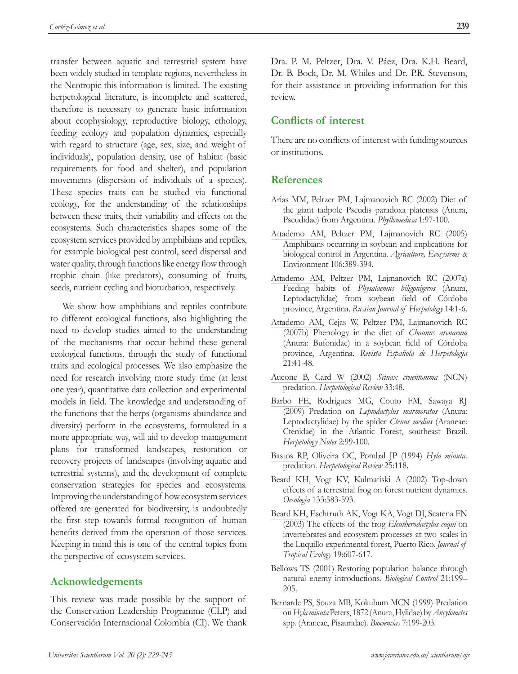<span id="page-10-0"></span>transfer between aquatic and terrestrial system have been widely studied in template regions, nevertheless in the Neotropic this information is limited. The existing herpetological literature, is incomplete and scattered, therefore is necessary to generate basic information about ecophysiology, reproductive biology, ethology, feeding ecology and population dynamics, especially with regard to structure (age, sex, size, and weight of individuals), population density, use of habitat (basic requirements for food and shelter), and population movements (dispersion of individuals of a species). These species traits can be studied via functional ecology, for the understanding of the relationships between these traits, their variability and effects on the ecosystems. Such characteristics shapes some of the ecosystem services provided by amphibians and reptiles, for example biological pest control, seed dispersal and water quality, through functions like energy flow through trophic chain (like predators), consuming of fruits, seeds, nutrient cycling and bioturbation, respectively.

We show how amphibians and reptiles contribute to different ecological functions, also highlighting the need to develop studies aimed to the understanding of the mechanisms that occur behind these general ecological functions, through the study of functional traits and ecological processes. We also emphasize the need for research involving more study time (at least one year), quantitative data collection and experimental models in field. The knowledge and understanding of the functions that the herps (organisms abundance and diversity) perform in the ecosystems, formulated in a more appropriate way, will aid to develop management plans for transformed landscapes, restoration or recovery projects of landscapes (involving aquatic and terrestrial systems), and the development of complete conservation strategies for species and ecosystems. Improving the understanding of how ecosystem services offered are generated for biodiversity, is undoubtedly the first step towards formal recognition of human benefits derived from the operation of those services. Keeping in mind this is one of the central topics from the perspective of ecosystem services.

## **Acknowledgements**

This review was made possible by the support of the Conservation Leadership Programme (CLP) and Conservación Internacional Colombia (CI). We thank Dra. P. M. Peltzer, Dra. V. Páez, Dra. K.H. Beard, Dr. B. Bock, Dr. M. Whiles and Dr. P.R. Stevenson, for their assistance in providing information for this review.

# **Conflicts of interest**

There are no conflicts of interest with funding sources or institutions.

# **References**

- [Arias MM,](#page-2-0) Peltzer PM, Lajmanovich RC (2002) Diet of the giant tadpole Pseudis paradoxa platensis (Anura, Pseudidae) from Argentina. *Phyllomedusa* 1:97-100.
- [Attademo AM,](#page-2-0) Peltzer PM, Lajmanovich RC (2005) Amphibians occurring in soybean and implications for biological control in Argentina. *Agriculture, Ecosystems* & Environment 106:389-394.
- [Attademo AM,](#page-2-0) Peltzer PM, Lajmanovich RC (2007a) Feeding habits of *Physalaemus biligonigerus* (Anura, Leptodactylidae) from soybean field of Córdoba province, Argentina. *Russian Journal of Herpetology* 14:1-6.
- [Attademo AM](#page-2-0), Cejas W, Peltzer PM, Lajmanovich RC (2007b) Phenology in the diet of *Chaunus arenarum*  (Anura: Bufonidae) in a soybean field of Córdoba province, Argentina. *Revista Española de Herpetologia* 21:41-48.
- [Aucone B, Card W](#page-9-0) (2002) *Scinax cruentomma* (NCN) predation. *Herpetological Review* 33:48.
- [Barbo FE,](#page-9-0) Rodrigues MG, Couto FM, Sawaya RJ (2009) Predation on *Leptodactylus marmoratus* (Anura: Leptodactylidae) by the spider *Ctenus medius* (Araneae: Ctenidae) in the Atlantic Forest, southeast Brazil. *Herpetology Notes* 2:99-100.
- [Bastos RP](#page-9-0), Oliveira OC, Pombal JP (1994) *Hyla minuta*. predation. *Herpetological Review* 25:118.
- [Beard KH](#page-2-0), Vogt KV, Kulmatiski A (2002) Top-down effects of a terrestrial frog on forest nutrient dynamics. *Oecologia* 133:583-593.
- [Beard KH](#page-2-0), Eschtruth AK, Vogt KA, Vogt DJ, Scatena FN (2003) The effects of the frog *Eleutherodactylus coqui* on invertebrates and ecosystem processes at two scales in the Luquillo experimental forest, Puerto Rico. *Journal of Tropical Ecology* 19:607-617.
- [Bellows TS](#page-8-0) (2001) Restoring population balance through natural enemy introductions. *Biological Control* 21:199– 205.
- [Bernarde PS](#page-9-0), Souza MB, Kokubum MCN (1999) Predation on *Hyla minuta* Peters, 1872 (Anura, Hylidae) by *Ancylometes* spp. (Araneae, Pisauridae). *Biociencias* 7:199-203.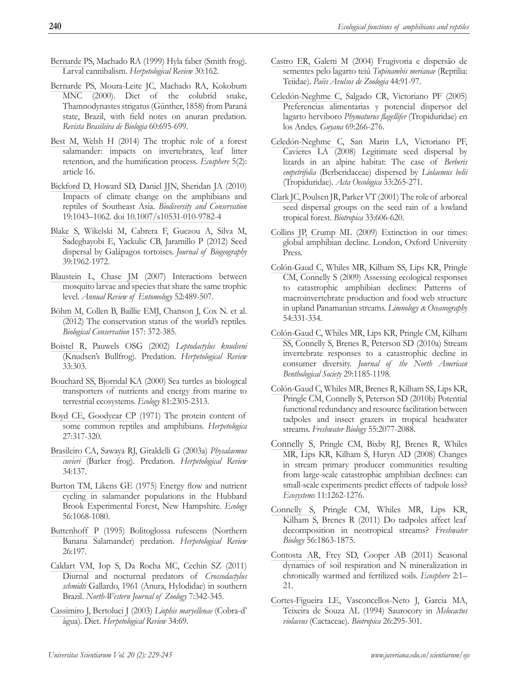- <span id="page-11-0"></span>[Bernarde PS,](#page-9-0) Machado RA (1999) Hyla faber (Smith frog). Larval cannibalism. *Herpetological Review* 30:162.
- [Bernarde PS,](#page-2-0) Moura-Leite JC, Machado RA, Kokobum MNC (2000). Diet of the colubrid snake, Thamnodynastes strigatus (Günther, 1858) from Paraná state, Brazil, with field notes on anuran predation. *Revista Brasileira de Biologia* 60:695-699.
- [Best M, Welsh H](#page-8-0) (2014) The trophic role of a forest salamander: impacts on invertebrates, leaf litter retention, and the humification process. *Ecosphere* 5(2): article 16.
- [Bickford D](#page-0-0), Howard SD, Daniel JJN, Sheridan JA (2010) Impacts of climate change on the amphibians and reptiles of Southeast Asia. *Biodiversity and Conservation* 19:1043–1062. [doi 10.1007/s10531-010-9782-4](http://link.springer.com/article/10.1007%2Fs10531-010-9782-4)
- [Blake S](#page-2-0), Wikelski M, Cabrera F, Guezou A, Silva M, Sadeghayobi E, Yackulic CB, Jaramillo P (2012) Seed dispersal by Galápagos tortoises. *Journal of Biogeography* 39:1962-1972.
- [Blaustein L, Chase JM](#page-8-0) (2007) Interactions between mosquito larvae and species that share the same trophic level. *Annual Review of Entomology* 52:489-507.
- [Böhm M](#page-1-0), Collen B, Baillie EMJ, Chanson J, Cox N. et al. (2012) The conservation status of the world's reptiles. *Biological Conservation* 157: 372-385.
- [Boistel R,](#page-9-0) Pauwels OSG (2002) *Leptodactylus knudseni*  (Knudsen's Bullfrog). Predation. *Herpetological Review* 33:303.
- [Bouchard SS, Bjorndal KA](#page-8-0) (2000) Sea turtles as biological transporters of nutrients and energy from marine to terrestrial ecosystems. *Ecology* 81:2305-2313.
- [Boyd CE, Goodyear CP](#page-8-0) (1971) The protein content of some common reptiles and amphibians. *Herpetologica* 27:317-320.
- [Brasileiro CA](#page-9-0), Sawaya RJ, Giraldelli G (2003a) *Physalaemus cuvieri* (Barker frog). Predation. *Herpetological Review* 34:137.
- [Burton TM, Likens GE](#page-8-0) (1975) Energy flow and nutrient cycling in salamander populations in the Hubbard Brook Experimental Forest, New Hampshire. *Ecology*  56:1068-1080.
- [Buttenhoff P](#page-9-0) (1995) Bolitoglossa rufescens (Northern Banana Salamander) predation. *Herpetological Review* 26:197.
- [Caldart VM,](#page-9-0) Iop S, Da Rocha MC, Cechin SZ (2011) Diurnal and nocturnal predators of *Crossodactylus schmidti* Gallardo, 1961 (Anura, Hylodidae) in southern Brazil. *North-Western Journal of Zoology* 7:342-345.
- [Cassimiro J, Bertoluci J](#page-9-0) (2003) *Liophis maryellenae* (Cobra-d' água). Diet. *Herpetological Review* 34:69.
- [Castro ER, Galetti M](#page-2-0) (2004) Frugivoria e dispersão de sementes pelo lagarto teiú *Tupinambis merianae* (Reptilia: Teiidae). *Paéis Avulsos de Zoologia* 44:91-97.
- [Celedón-Neghme C](#page-2-0), Salgado CR, Victoriano PF (2005) Preferencias alimentarias y potencial dispersor del lagarto herviboro *Phymaturus flagellifer* (Tropiduridae) en los Andes. *Guyana* 69:266-276.
- [Celedón-Neghme C](#page-2-0), San Marin LA, Victoriano PF, Cavieres LA (2008) Legitimate seed dispersal by lizards in an alpine habitat: The case of *Berberis empetrifolia* (Berberidaceae) dispersed by *Liolaemus belii*  (Tropiduridae). *Acta Oecologica* 33:265-271.
- [Clark JC,](#page-5-0) Poulsen JR, Parker VT (2001) The role of arboreal seed dispersal groups on the seed rain of a lowland tropical forest. *Biotropica* 33:606-620.
- [Collins JP, Crump ML](#page-0-0) (2009) Extinction in our times: global amphibian decline. London, Oxford University Press.
- Colón-Gaud C, Whiles MR, Kilham SS, Lips KR, Pringle CM, Connelly S (2009) Assessing ecological responses to catastrophic amphibian declines: Patterns of macroinvertebrate production and food web structure in upland Panamanian streams. *Limnology* & *Oceanography* 54:331-334.
- [Colón-Gaud C](#page-2-0), Whiles MR, Lips KR, Pringle CM, Kilham SS, Connelly S, Brenes R, Peterson SD (2010a) Stream invertebrate responses to a catastrophic decline in consumer diversity. *Journal of the North American Benthological Society* 29:1185-1198.
- Colón-Gaud C, Whiles MR, Brenes R, Kilham SS, Lips KR, Pringle CM, Connelly S, Peterson SD (2010b) Potential functional redundancy and resource facilitation between tadpoles and insect grazers in tropical headwater streams. *Freshwater Biology* 55:2077-2088.
- [Connelly S](#page-4-0), Pringle CM, Bixby RJ, Brenes R, Whiles MR, Lips KR, Kilham S, Huryn AD (2008) Changes in stream primary producer communities resulting from large-scale catastrophic amphibian declines: can small-scale experiments predict effects of tadpole loss? *Ecosystems* 11:1262-1276.
- [Connelly S](#page-1-0), Pringle CM, Whiles MR, Lips KR, Kilham S, Brenes R (2011) Do tadpoles affect leaf decomposition in neotropical streams? *Freshwater Biology* 56:1863-1875.
- [Contosta AR](#page-3-0), Frey SD, Cooper AB (2011) Seasonal dynamics of soil respiration and N mineralization in chronically warmed and fertilized soils. *Ecosphere* 2:1– 21.
- [Cortes-Figueira LE](#page-2-0), Vasconcellos-Neto J, Garcia MA, Teixeira de Souza AL (1994) Saurocory in *Melocactus violaceus* (Cactaceae). *Biotropica* 26:295-301.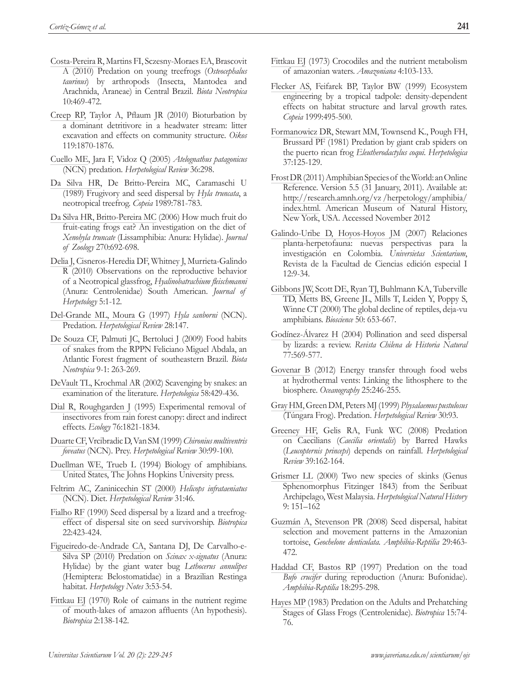- <span id="page-12-0"></span>[Costa-Pereira R,](#page-9-0) Martins FI, Sczesny-Moraes EA, Brascovit A (2010) Predation on young treefrogs (*Osteocephalus taurinus*) by arthropods (Insecta, Mantodea and Arachnida, Araneae) in Central Brazil. *Biota Neotropica*  10:469-472.
- [Creep RP](#page-4-0), Taylor A, Pflaum JR (2010) Bioturbation by a dominant detritivore in a headwater stream: litter excavation and effects on community structure. *Oikos* 119:1870-1876.
- [Cuello ME,](#page-9-0) Jara F, Vidoz Q (2005) *Atelognathus patagonicus* (NCN) predation. *Herpetological Review* 36:298.
- [Da Silva HR,](#page-2-0) De Britto-Pereira MC, Caramaschi U (1989) Frugivory and seed dispersal by *Hyla truncata*, a neotropical treefrog. *Copeia* 1989:781-783.
- [Da Silva HR, Britto-Pereira MC](#page-2-0) (2006) How much fruit do fruit-eating frogs eat? An investigation on the diet of *Xenohyla truncate* (Lissamphibia: Anura: Hylidae). *Journal of Zoology* 270:692-698.
- [Delia J](#page-9-0), Cisneros-Heredia DF, Whitney J, Murrieta-Galindo R (2010) Observations on the reproductive behavior of a Neotropical glassfrog, *Hyalinobatrachium fleischmanni*  (Anura: Centrolenidae) South American. *Journal of Herpetology* 5:1-12.
- [Del-Grande ML, Moura G](#page-9-0) (1997) *Hyla sanborni* (NCN). Predation. *Herpetological Review* 28:147.
- [De Souza CF](#page-2-0), Palmuti JC, Bertoluci J (2009) Food habits of snakes from the RPPN Feliciano Miguel Abdala, an Atlantic Forest fragment of southeastern Brazil. *Biota Neotropica* 9-1: 263-269.
- [DeVault TL, Krochmal AR](#page-9-0) (2002) Scavenging by snakes: an examination of the literature. *Herpetologica* 58:429-436.
- [Dial R, Roughgarden J](#page-2-0) (1995) Experimental removal of insectivores from rain forest canopy: direct and indirect effects. *Ecology* 76:1821-1834.
- [Duarte CF](#page-2-0), Vrcibradic D, Van SM (1999) *Chironius multiventris foveatus* (NCN). Prey. *Herpetological Review* 30:99-100.
- [Duellman WE, Trueb L](#page-9-0) (1994) Biology of amphibians. United States, The Johns Hopkins University press.
- [Feltrim AC, Zaninicechin ST](#page-9-0) (2000) *Helicops infrataeniatus* (NCN). Diet. *Herpetological Review* 31:46.
- [Fialho RF](#page-2-0) (1990) Seed dispersal by a lizard and a treefrogeffect of dispersal site on seed survivorship. *Biotropica*  22:423-424.
- [Figueiredo-de-Andrade CA](#page-9-0), Santana DJ, De Carvalho-e-Silva SP (2010) Predation on *Scinax x-signatus* (Anura: Hylidae) by the giant water bug *Lethocerus annulipes* (Hemiptera: Belostomatidae) in a Brazilian Restinga habitat. *Herpetology Notes* 3:53-54.
- [Fittkau EJ](#page-2-0) (1970) Role of caimans in the nutrient regime of mouth-lakes of amazon affluents (An hypothesis). *Biotropica* 2:138-142.
- [Fittkau EJ](#page-4-0) (1973) Crocodiles and the nutrient metabolism of amazonian waters. *Amazoniana* 4:103-133.
- [Flecker AS](#page-2-0), Feifarek BP, Taylor BW (1999) Ecosystem engineering by a tropical tadpole: density-dependent effects on habitat structure and larval growth rates. *Copeia* 1999:495-500.
- [Formanowicz DR](#page-9-0), Stewart MM, Townsend K., Pough FH, Brussard PF (1981) Predation by giant crab spiders on the puerto rican frog *Eleutherodactylus coqui. Herpetologica* 37:125-129.
- [Frost DR](#page-1-0) (2011) Amphibian Species of the World: an Online Reference. Version 5.5 (31 January, 2011). Available at: [http://research.amnh.org/vz /herpetology/amphibia/](http://research.amnh.org/vz/herpetology/amphibia/index.html) [index.html](http://research.amnh.org/vz/herpetology/amphibia/index.html). American Museum of Natural History, New York, USA. Accessed November 2012
- [Galindo-Uribe D, Hoyos-Hoyos JM](#page-5-0) (2007) Relaciones planta-herpetofauna: nuevas perspectivas para la investigación en Colombia. *Universietas Scientarium*, Revista de la Facultad de Ciencias edición especial I 12:9-34.
- [Gibbons JW](#page-1-0), Scott DE, Ryan TJ, Buhlmann KA, Tuberville TD, Metts BS, Greene JL, Mills T, Leiden Y, Poppy S, Winne CT (2000) The global decline of reptiles, deja-vu amphibians. *Bioscience* 50: 653-667.
- [Godínez-Álvarez H](#page-5-0) (2004) Pollination and seed dispersal by lizards: a review. *Revista Chilena de Historia Natural* 77:569-577.
- [Govenar B](#page-8-0) (2012) Energy transfer through food webs at hydrothermal vents: Linking the lithosphere to the biosphere. *Oceanography* 25:246-255.
- [Gray HM](#page-9-0), Green DM, Peters MJ (1999) *Physalaemus pustulosus* (Túngara Frog). Predation. *Herpetological Review* 30:93.
- [Greeney HF](#page-9-0), Gelis RA, Funk WC (2008) Predation on Caecilians (*Caecilia orientalis*) by Barred Hawks (*Leucopternis princeps*) depends on rainfall. *Herpetological Review* 39:162-164.
- [Grismer LL](#page-8-0) (2000) Two new species of skinks (Genus Sphenomorphus Fitzinger 1843) from the Seribuat Archipelago, West Malaysia. *Herpetological Natural History* 9: 151–162
- [Guzmán A, Stevenson PR](#page-2-0) (2008) Seed dispersal, habitat selection and movement patterns in the Amazonian tortoise, *Geochelone denticulata. Amphibia-Reptilia* 29:463- 472.
- [Haddad CF, Bastos RP](#page-9-0) (1997) Predation on the toad *Bufo crucifer* during reproduction (Anura: Bufonidae). *Amphibia-Reptilia* 18:295-298.
- [Hayes MP](#page-8-0) (1983) Predation on the Adults and Prehatching Stages of Glass Frogs (Centrolenidae). *Biotropica* 15:74- 76.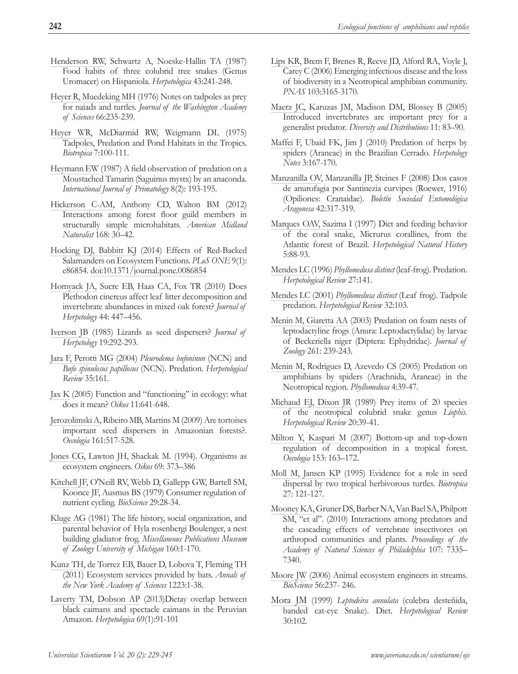- <span id="page-13-0"></span>[Henderson RW,](#page-2-0) Schwartz A, Noeske-Hallin TA (1987) Food habits of three colubrid tree snakes (Genus Uromacer) on Hispaniola. *Herpetologica* 43:241-248.
- [Heyer R, Muedeking MH](#page-9-0) (1976) Notes on tadpoles as prey for naiads and turtles. *Journal of the Washington Academy of Sciences* 66:235-239.
- [Heyer WR,](#page-2-0) McDiarmid RW, Weigmann DL (1975) Tadpoles, Predation and Pond Habitats in the Tropics. *Biotropica* 7:100-111.
- [Heymann EW](#page-8-0) (1987) A field observation of predation on a Moustached Tamarin (Saguinus mystx) by an anaconda. *International Journal of Primatology* 8(2): 193-195.
- [Hickerson C-AM](#page-3-0), Anthony CD, Walton BM (2012) Interactions among forest floor guild members in structurally simple microhabitats. *American Midland Naturalist* 168: 30–42.
- [Hocking DJ, Babbitt KJ](#page-1-0) (2014) Effects of Red-Backed Salamanders on Ecosystem Functions. *PLoS ONE* 9(1): e86854. [doi:10.1371/journal.pone.0086854](http://journals.plos.org/plosone/article?id=10.1371/journal.pone.0086854)
- [Homyack JA,](#page-8-0) Sucre EB, Haas CA, Fox TR (2010) Does Plethodon cinereus affect leaf litter decomposition and invertebrate abundances in mixed oak forest? *Journal of Herpetology* 44: 447–456.
- [Iverson JB](#page-2-0) (1985) Lizards as seed dispersers? *Journal of Herpetology* 19:292-293.
- [Jara F, Perotti MG](#page-9-0) (2004) *Pleurodema bufoninun* (NCN) and *Bufo spinulosus papillosus* (NCN). Predation. *Herpetological Review* 35:161.
- [Jax K](#page-1-0) (2005) Function and "functioning" in ecology: what does it mean? *Oikos* 11:641-648.
- [Jerozolimski A](#page-2-0), Ribeiro MB, Martins M (2009) Are tortoises important seed dispersers in Amazonian forests?. *Oecologia* 161:517-528.
- [Jones CG](#page-4-0), Lawton JH, Shackak M. (1994). Organisms as ecosystem engineers. *Oikos* 69: 373–386
- [Kitchell JF](#page-4-0), O'Neill RV, Webb D, Gallepp GW, Bartell SM, Koonce JF, Ausmus BS (1979) Consumer regulation of nutrient cycling. *BioScience* 29:28-34.
- [Kluge AG](#page-8-0) (1981) The life history, social organization, and parental behavior of Hyla rosenbergi Boulenger, a nest building gladiator frog. *Miscellaneous Publications Museum of Zoology University of Michigan* 160:1-170.
- [Kunz TH](#page-0-0), de Torrez EB, Bauer D, Lobova T, Fleming TH (2011) Ecosystem services provided by bats. *Annals of the New York Academy of Sciences* 1223:1-38.
- [Laverty TM, Dobson AP](#page-8-0) (2013)Dietay overlap between black caimans and spectacle caimans in the Peruvian Amazon. *Herpetologica* 69(1):91-101
- [Lips KR,](#page-1-0) Brem F, Brenes R, Reeve JD, Alford RA, Voyle J, Carey C (2006) Emerging infectious disease and the loss of biodiversity in a Neotropical amphibian community. *PNAS* 103:3165-3170.
- [Maerz JC](#page-8-0), Karuzas JM, Madison DM, Blossey B (2005) Introduced invertebrates are important prey for a generalist predator. *Diversity and Distributions* 11: 83–90.
- [Maffei F](#page-9-0), Ubaid FK, Jim J (2010) Predation of herps by spiders (Araneae) in the Brazilian Cerrado. *Herpetology Notes* 3:167-170.
- [Manzanilla OV,](#page-9-0) Manzanilla JP, Steines F (2008) Dos casos de anurofagia por Santinezia curvipes (Roewer, 1916) (Opiliones: Cranaidae). *Boletín Sociedad Entomológica Aragonesa* 42:317-319.
- [Marques OAV, Sazima I](#page-2-0) (1997) Diet and feeding behavior of the coral snake, Micrurus corallines, from the Atlantic forest of Brazil. *Herpetological Natural History* 5:88-93.
- [Mendes LC](#page-9-0) (1996) *Phyllomedusa distinct* (leaf-frog). Predation. *Herpetological Review* 27:141.
- [Mendes LC](#page-9-0) (2001) *Phyllomedusa distinct* (Leaf frog). Tadpole predation. *Herpetological Review* 32:103.
- [Menin M, Giaretta AA](#page-9-0) (2003) Predation on foam nests of leptodactyline frogs (Anura: Leptodactylidae) by larvae of Beckeriella niger (Diptera: Ephydridae). *Journal of Zoology* 261: 239-243.
- [Menin M](#page-9-0), Rodrigues D, Azevedo CS (2005) Predation on amphibians by spiders (Arachnida, Araneae) in the Neotropical region. *Phyllomedusa* 4:39-47.
- [Michaud EJ, Dixon JR](#page-2-0) (1989) Prey items of 20 species of the neotropical colubrid snake genus *Liophis*. *Herpetological Review* 20:39-41.
- [Milton Y, Kaspari M](#page-3-0) (2007) Bottom-up and top-down regulation of decomposition in a tropical forest. *Oecologia* 153: 163–172.
- [Moll M, Jansen KP](#page-2-0) (1995) Evidence for a role in seed dispersal by two tropical herbivorous turtles. *Biotropica*  27: 121-127.
- [Mooney KA](#page-8-0), Gruner DS, Barber NA, Van Bael SA, Philpott SM, "et al". (2010) Interactions among predators and the cascading effects of vertebrate insectivores on arthropod communities and plants. *Proceedings of the Academy of Natural Sciences of Philadelphia* 107: 7335– 7340.
- [Moore JW](#page-4-0) (2006) Animal ecosystem engineers in streams. *BioScience* 56:237- 246.
- [Mora JM](#page-9-0) (1999) *Leptodeira annulata* (culebra desteñida, banded cat-eye Snake). Diet. *Herpetological Review*  30:102.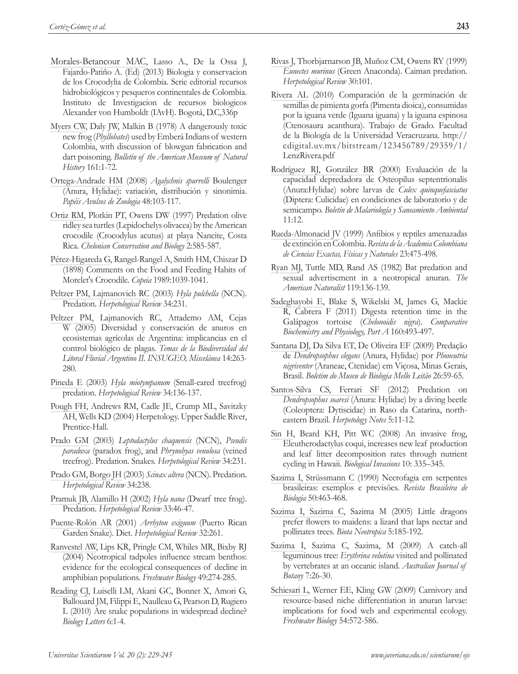- <span id="page-14-0"></span>[Morales-Betancour MAC,](#page-8-0) Lasso A., De la Ossa J, Fajardo-Patiño A. (Ed) (2013) Biologia y conservacion de los Crocodylia de Colombia. Serie editorial recursos hidrobiológicos y pesqueros continentales de Colombia. Instituto de Investigacion de recursos biologicos Alexander von Humboldt (IAvH). Bogotá, D.C,336p
- [Myers CW,](#page-8-0) Daly JW, Malkin B (1978) A dangerously toxic new frog (*Phyllobates*) used by Emberá Indians of western Colombia, with discussion of blowgun fabrication and dart poisoning. *Bulletin of the American Museum of Natural History* 161:1-72.
- [Ortega-Andrade HM](#page-9-0) (2008) *Agalychnis spurrelli* Boulenger (Anura, Hylidae): variación, distribución y sinonimia. *Papéis Avulsos de Zoologia* 48:103-117.
- [Ortiz RM](#page-8-0), Plotkin PT, Owens DW (1997) Predation olive ridley sea turtles (Lepidochelys olivacea) by the American crocodile (Crocodylus acutus) at playa Nancite, Costa Rica. *Chelonian Conservation and Biology* 2:585-587.
- [Pérez-Higareda G,](#page-2-0) Rangel-Rangel A, Smith HM, Chiszar D (1898) Comments on the Food and Feeding Habits of Morelet's Crocodile. *Copeia* 1989:1039-1041.
- [Peltzer PM, Lajmanovich RC](#page-2-0) (2003) *Hyla pulchella* (NCN). Predation. *Herpetological Review* 34:231.
- Peltzer PM, Lajmanovich RC, Attademo AM, Cejas W (2005) Diversidad y conservación de anuros en ecosistemas agrícolas de Argentina: implicancias en el control biológico de plagas. *Temas de la Biodiversidad del Litoral Fluvial Argentino II. INSUGEO, Miscelánea* 14:263- 280.
- [Pineda E](#page-9-0) (2003) *Hyla miotympanum* (Small-eared treefrog) predation. *Herpetological Review* 34:136-137.
- [Pough FH,](#page-0-0) Andrews RM, Cadle JE, Crump ML, Savitzky AH, Wells KD (2004) Herpetology. Upper Saddle River, Prentice-Hall.
- [Prado GM](#page-8-0) (2003) *Leptodactylus chaquensis* (NCN), *Pseudis paradoxa* (paradox frog), and *Phrynohyas venulosa* (veined treefrog). Predation. Snakes. *Herpetological Review* 34:231.
- [Prado GM, Borgo JH](#page-9-0) (2003) *Scinax altera* (NCN). Predation. *Herpetological Review* 34:238.
- [Pramuk JB, Alamillo H](#page-9-0) (2002) *Hyla nana* (Dwarf tree frog). Predation. *Herpetological Review* 33:46-47.
- [Puente-Rolón AR](#page-9-0) (2001) *Arrhyton exiguum* (Puerto Rican Garden Snake). Diet. *Herpetological Review* 32:261.
- [Ranvestel AW](#page-2-0), Lips KR, Pringle CM, Whiles MR, Bixby RJ (2004) Neotropical tadpoles influence stream benthos: evidence for the ecological consequences of decline in amphibian populations. *Freshwater Biology* 49:274-285.
- [Reading CJ,](#page-1-0) Luiselli LM, Akani GC, Bonnet X, Amori G, Ballouard JM, Filippi E, Naulleau G, Pearson D, Rugiero L (2010) Are snake populations in widespread decline? *Biology Letters* 6:1-4.
- [Rivas J](#page-8-0), Thorbjarnarson JB, Muñoz CM, Owens RY (1999) *Eunectes murinus* (Green Anaconda). Caiman predation. *Herpetological Review* 30:101.
- [Rivera AL](#page-2-0) (2010) Comparación de la germinación de semillas de pimienta gorfa (Pimenta dioica), consumidas por la iguana verde (Iguana iguana) y la iguana espinosa (Ctenosaura acanthura). Trabajo de Grado. Facultad de la Biología de la Universidad Veracruzana. http:// cdigital.uv.mx/bitstream/123456789/29359/1/ LenzRivera.pdf
- [Rodríguez RJ, González BR](#page-2-0) (2000) Evaluación de la capacidad depredadora de Osteopilus septentrionalis (Anura:Hylidae) sobre larvas de *Culex quinquefasciatus* (Diptera: Culicidae) en condiciones de laboratorio y de semicampo. *Boletín de Malariología y Saneamiento Ambiental* 11:12.
- [Rueda-Almonacid JV](#page-1-0) (1999) Anfibios y reptiles amenazadas de extinción en Colombia. *Revista de la Academia Colombiana de Ciencias Exactas, Físicas y Naturales* 23:475-498.
- [Ryan MJ,](#page-9-0) Tuttle MD, Rand AS (1982) Bat predation and sexual advertisement in a neotropical anuran. *The American Naturalist* 119:136-139.
- [Sadeghayobi E](#page-2-0), Blake S, Wikelski M, James G, Mackie R, Cabrera F (2011) Digesta retention time in the Galápagos tortoise (*Chelonoidis nigra*). *Comparative Biochemistry and Physiology, Part A* 160:493-497.
- [Santana DJ](#page-9-0), Da Silva ET, De Oliveira EF (2009) Predação de *Dendropsophus elegans* (Anura, Hylidae) por *Phoneutria nigriventer* (Araneae, Ctenidae) em Viçosa, Minas Gerais, Brasil. *Boletim do Museu de Biologia Mello Leitão* 26:59-65.
- [Santos-Silva CS, Ferrari SF](#page-9-0) (2012) Predation on *Dendropsophus soaresi* (Anura: Hylidae) by a diving beetle (Coleoptera: Dytiscidae) in Raso da Catarina, northeastern Brazil. *Herpetology Notes* 5:11-12.
- [Sin H](#page-3-0), Beard KH, Pitt WC (2008) An invasive frog, Eleutherodactylus coqui, increases new leaf production and leaf litter decomposition rates through nutrient cycling in Hawaii. *Biological Invasions* 10: 335–345.
- [Sazima I, Strüssmann C](#page-9-0) (1990) Necrofagia em serpentes brasileiras: exemplos e previsões. *Revista Brasileira de Biologia* 50:463-468.
- [Sazima I, Sazima C](#page-2-0), Sazima M (2005) Little dragons prefer flowers to maidens: a lizard that laps nectar and pollinates trees. *Biota Neotropica* 5:185-192.
- [Sazima I,](#page-2-0) Sazima C, Sazima, M (2009) A catch-all leguminous tree: *Erythrina velutina* visited and pollinated by vertebrates at an oceanic island. *Australian Journal of Botany* 7:26-30.
- [Schiesari L](#page-8-0), Werner EE, Kling GW (2009) Carnivory and resource-based niche differentiation in anuran larvae: implications for food web and experimental ecology. *Freshwater Biology* 54:572-586.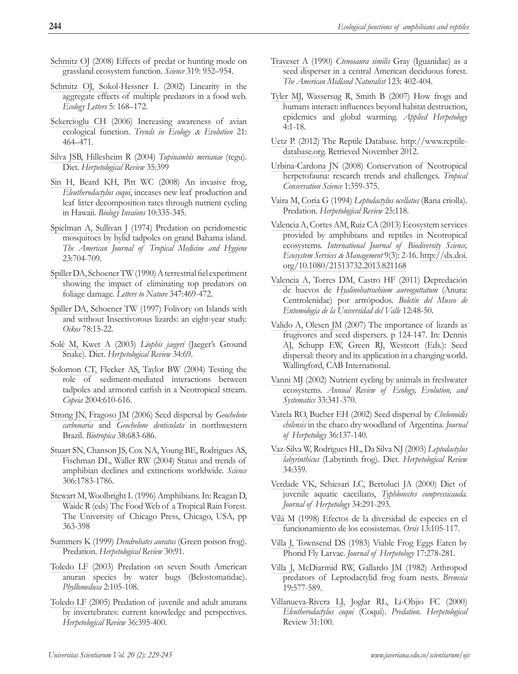- <span id="page-15-0"></span>[Schmitz OJ](#page-8-0) (2008) Effects of predat or hunting mode on grassland ecosystem function. *Science* 319: 952–954.
- [Schmitz OJ, Sokol-Hessner L](#page-8-0) (2002) Linearity in the aggregate effects of multiple predators in a food web. *Ecology Letters* 5: 168–172.
- [Sekercioglu CH](#page-0-0) (2006) Increasing awareness of avian ecological function. *Trends in Ecology* & *Evolution* 21: 464–471.
- [Silva JSB, Hillesheim R](#page-8-0) (2004) *Tupinambis merianae* (tegu). Diet. *Herpetological Review* 35:399
- [Sin H](#page-3-0), Beard KH, Pitt WC (2008) An invasive frog, *Eleutherodactylus coqui*, inceases new leaf production and leaf litter decomposition rates through nutrient cycling in Hawaii. *Biology Invaions* 10:335-345.
- [Spielman A, Sullivan J](#page-2-0) (1974) Predation on peridomestic mosquitoes by hylid tadpoles on grand Bahama island. *The American Journal of Tropical Medicine and Hygiene* 23:704-709.
- [Spiller DA, Schoener TW](#page-2-0) (1990) A terrestrial fiel experiment showing the impact of eliminating top predators on foliage damage. *Letters to Nature* 347:469-472.
- [Spiller DA, Schoener TW](#page-8-0) (1997) Folivory on Islands with and without Insectivorous lizards: an eight-year study. *Oikos* 78:15-22.
- [Solé M, Kwet A](#page-9-0) (2003) *Liophis jaegeri* (Jaeger's Ground Snake). Diet. *Herpetological Review* 34:69.
- [Solomon CT](#page-4-0), Flecker AS, Taylor BW (2004) Testing the role of sediment-mediated interactions between tadpoles and armored catfish in a Neotropical stream. *Copeia* 2004:610-616.
- [Strong JN, Fragoso JM](#page-2-0) (2006) Seed dispersal by *Geochelone carbonaria* and *Geochelone denticulata* in northwestern Brazil. *Biotropica* 38:683-686.
- [Stuart SN,](#page-1-0) Chanson JS, Cox NA, Young BE, Rodrigues AS, Fischman DL, Waller RW (2004) Status and trends of amphibian declines and extinctions worldwide. *Science*  306:1783-1786.
- [Stewart M, Woolbright L](#page-3-0) (1996) Amphibians. In: Reagan D, Waide R (eds) The Food Web of a Tropical Rain Forest. The University of Chicago Press, Chicago, USA, pp 363-398
- [Summers K](#page-9-0) (1999) *Dendrobates auratus* (Green poison frog). Predation. *Herpetological Review* 30:91.
- [Toledo LF](#page-9-0) (2003) Predation on seven South American anuran species by water bugs (Belostomatidae). *Phyllomedusa* 2:105-108.
- [Toledo LF](#page-9-0) (2005) Predation of juvenile and adult anurans by invertebrates: current knowledge and perspectives. *Herpetological Review* 36:395-400.
- [Traveset A](#page-2-0) (1990) *Ctenosaura similis* Gray (Iguanidae) as a seed disperser in a central American deciduous forest. *The American Midland Naturalist* 123: 402-404.
- [Tyler MJ](#page-0-0), Wassersug R, Smith B (2007) How frogs and humans interact: influences beyond habitat destruction, epidemics and global warming. *Applied Herpetology*  4:1-18.
- [Uetz P.](#page-1-0) (2012) The Reptile Database. [http://www.reptile](http://www.reptile-database.orghttp://www.reptile-database.org/)[database.org](http://www.reptile-database.orghttp://www.reptile-database.org/). Retrieved November 2012.
- [Urbina-Cardona JN](#page-0-0) (2008) Conservation of Neotropical herpetofauna: research trends and challenges. *Tropical Conservation Science* 1:359-375.
- [Vaira M, Coria G](#page-9-0) (1994) *Leptodactylus ocellatus* (Rana criolla). Predation. *Herpetological Review* 25:118.
- [Valencia A,](#page-0-0) Cortes AM, Ruiz CA (2013) Ecosystem services provided by amphibians and reptiles in Neotropical ecosystems. *International Journal of Biodiversity Science, Ecosystem Services* & *Management* 9(3): 2-16. [http://dx.doi.](http://www.tandfonline.com/doi/abs/10.1080/21513732.2013.821168#.VQz0EmeUAfg) [org/10.1080/21513732.2013.821168](http://www.tandfonline.com/doi/abs/10.1080/21513732.2013.821168#.VQz0EmeUAfg)
- [Valencia A,](#page-9-0) Torres DM, Castro HF (2011) Depredación de huevos de *Hyalinobatrachium aureoguttatum* (Anura: Centrolenidae) por artrópodos. *Boletín del Museo de Entomología de la Universidad del Valle* 12:48-50.
- [Valido A, Olesen JM](#page-5-0) (2007) The importance of lizards as frugivores and seed dispersers. p 124-147. In: Dennis AJ, Schupp EW, Green RJ, Westcott (Eds.): Seed dispersal: theory and its application in a changing world. Wallingford, CAB International.
- [Vanni MJ](#page-3-0) (2002) Nutrient cycling by animals in freshwater ecosystems. *Annual Review of Ecology, Evolution, and Systematics* 33:341-370.
- [Varela RO, Bucher EH](#page-2-0) (2002) Seed dispersal by *Chelonoidis chilensis* in the chaco dry woodland of Argentina. *Journal of Herpetology* 36:137-140.
- [Vaz-Silva W,](#page-2-0) Rodrigues HL, Da Silva NJ (2003) *Leptodactylus labyrinthicus* (Labyrinth frog). Diet. *Herpetological Review* 34:359.
- [Verdade VK](#page-2-0), Schiesari LC, Bertoluci JA (2000) Diet of juvenile aquatic caecilians, *Typhlonectes compressicauda. Journal of Herpetology* 34:291-293.
- [Vilá M](#page-3-0) (1998) Efectos de la diversidad de especies en el funcionamiento de los ecosistemas. *Orsis* 13:105-117.
- Villa J, Townsend DS (1983) Viable Frog Eggs Eaten by Phorid Fly Larvae. *Journal of Herpetology* 17:278-281.
- [Villa J](#page-8-0), McDiarmid RW, Gallardo JM (1982) Arthropod predators of Leptodactylid frog foam nests. *Brenesia*  19:577-589.
- [Villanueva-Rivera LJ,](#page-9-0) Joglar RL, Li-Objio FC (2000) *Eleutherodactylus coqui* (Coqui). *Predation. Herpetological*  Review 31:100.